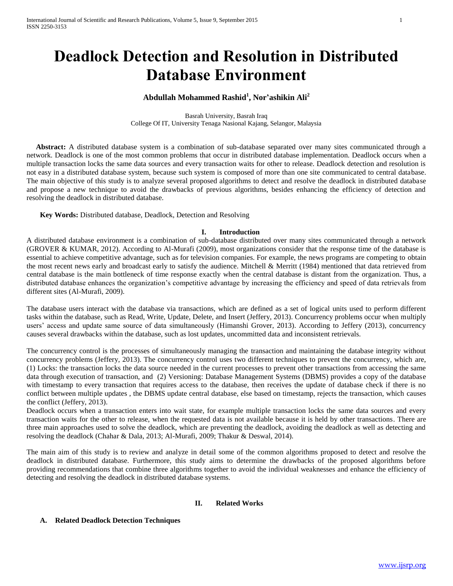# **Deadlock Detection and Resolution in Distributed Database Environment**

## **Abdullah Mohammed Rashid<sup>1</sup> , Nor'ashikin Ali<sup>2</sup>**

Basrah University, Basrah Iraq College Of IT, University Tenaga Nasional Kajang, Selangor, Malaysia

 **Abstract:** A distributed database system is a combination of sub-database separated over many sites communicated through a network. Deadlock is one of the most common problems that occur in distributed database implementation. Deadlock occurs when a multiple transaction locks the same data sources and every transaction waits for other to release. Deadlock detection and resolution is not easy in a distributed database system, because such system is composed of more than one site communicated to central database. The main objective of this study is to analyze several proposed algorithms to detect and resolve the deadlock in distributed database and propose a new technique to avoid the drawbacks of previous algorithms, besides enhancing the efficiency of detection and resolving the deadlock in distributed database.

**Key Words:** Distributed database, Deadlock, Detection and Resolving

### **I. Introduction**

A distributed database environment is a combination of sub-database distributed over many sites communicated through a network (GROVER & KUMAR, 2012). According to Al-Murafi (2009), most organizations consider that the response time of the database is essential to achieve competitive advantage, such as for television companies. For example, the news programs are competing to obtain the most recent news early and broadcast early to satisfy the audience. Mitchell & Merritt (1984) mentioned that data retrieved from central database is the main bottleneck of time response exactly when the central database is distant from the organization. Thus, a distributed database enhances the organization's competitive advantage by increasing the efficiency and speed of data retrievals from different sites (Al-Murafi, 2009).

The database users interact with the database via transactions, which are defined as a set of logical units used to perform different tasks within the database, such as Read, Write, Update, Delete, and Insert (Jeffery, 2013). Concurrency problems occur when multiply users' access and update same source of data simultaneously (Himanshi Grover, 2013). According to Jeffery (2013), concurrency causes several drawbacks within the database, such as lost updates, uncommitted data and inconsistent retrievals.

The concurrency control is the processes of simultaneously managing the transaction and maintaining the database integrity without concurrency problems (Jeffery, 2013). The concurrency control uses two different techniques to prevent the concurrency, which are, (1) Locks: the transaction locks the data source needed in the current processes to prevent other transactions from accessing the same data through execution of transaction, and (2) Versioning: Database Management Systems (DBMS) provides a copy of the database with timestamp to every transaction that requires access to the database, then receives the update of database check if there is no conflict between multiple updates , the DBMS update central database, else based on timestamp, rejects the transaction, which causes the conflict (Jeffery, 2013).

Deadlock occurs when a transaction enters into wait state, for example multiple transaction locks the same data sources and every transaction waits for the other to release, when the requested data is not available because it is held by other transactions. There are three main approaches used to solve the deadlock, which are preventing the deadlock, avoiding the deadlock as well as detecting and resolving the deadlock (Chahar & Dala, 2013; Al-Murafi, 2009; Thakur & Deswal, 2014).

The main aim of this study is to review and analyze in detail some of the common algorithms proposed to detect and resolve the deadlock in distributed database. Furthermore, this study aims to determine the drawbacks of the proposed algorithms before providing recommendations that combine three algorithms together to avoid the individual weaknesses and enhance the efficiency of detecting and resolving the deadlock in distributed database systems.

## **II. Related Works**

### **A. Related Deadlock Detection Techniques**

[www.ijsrp.org](http://ijsrp.org/)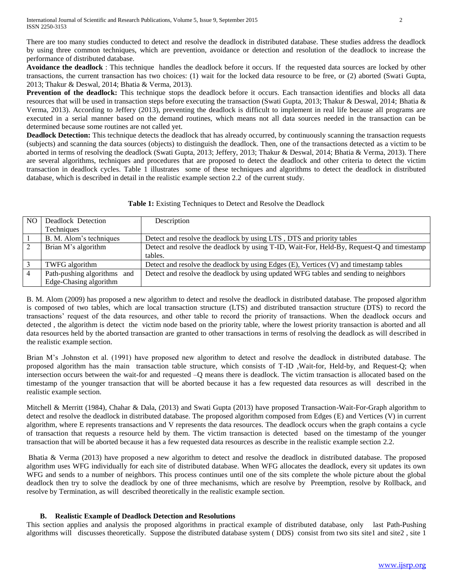There are too many studies conducted to detect and resolve the deadlock in distributed database. These studies address the deadlock by using three common techniques, which are prevention, avoidance or detection and resolution of the deadlock to increase the performance of distributed database.

**Avoidance the deadlock** : This technique handles the deadlock before it occurs. If the requested data sources are locked by other transactions, the current transaction has two choices: (1) wait for the locked data resource to be free, or (2) aborted (Swati Gupta, 2013; Thakur & Deswal, 2014; Bhatia & Verma, 2013).

**Prevention of the deadlock:** This technique stops the deadlock before it occurs. Each transaction identifies and blocks all data resources that will be used in transaction steps before executing the transaction (Swati Gupta, 2013; Thakur & Deswal, 2014; Bhatia & Verma, 2013). According to Jeffery (2013), preventing the deadlock is difficult to implement in real life because all programs are executed in a serial manner based on the demand routines, which means not all data sources needed in the transaction can be determined because some routines are not called yet.

**Deadlock Detection:** This technique detects the deadlock that has already occurred, by continuously scanning the transaction requests (subjects) and scanning the data sources (objects) to distinguish the deadlock. Then, one of the transactions detected as a victim to be aborted in terms of resolving the deadlock (Swati Gupta, 2013; Jeffery, 2013; Thakur & Deswal, 2014; Bhatia & Verma, 2013). There are several algorithms, techniques and procedures that are proposed to detect the deadlock and other criteria to detect the victim transaction in deadlock cycles. Table 1 illustrates some of these techniques and algorithms to detect the deadlock in distributed database, which is described in detail in the realistic example section 2.2 of the current study.

| Table 1: Existing Techniques to Detect and Resolve the Deadlock |  |  |  |  |
|-----------------------------------------------------------------|--|--|--|--|
|-----------------------------------------------------------------|--|--|--|--|

| N <sub>O</sub> | Deadlock Detection          | Description                                                                               |
|----------------|-----------------------------|-------------------------------------------------------------------------------------------|
|                | <b>Techniques</b>           |                                                                                           |
|                | B. M. Alom's techniques     | Detect and resolve the deadlock by using LTS, DTS and priority tables                     |
|                | Brian M's algorithm         | Detect and resolve the deadlock by using T-ID, Wait-For, Held-By, Request-Q and timestamp |
|                |                             | tables.                                                                                   |
|                | TWFG algorithm              | Detect and resolve the deadlock by using Edges (E), Vertices (V) and timestamp tables     |
|                | Path-pushing algorithms and | Detect and resolve the deadlock by using updated WFG tables and sending to neighbors      |
|                | Edge-Chasing algorithm      |                                                                                           |

B. M. Alom (2009) has proposed a new algorithm to detect and resolve the deadlock in distributed database. The proposed algorithm is composed of two tables, which are local transaction structure (LTS) and distributed transaction structure (DTS) to record the transactions' request of the data resources, and other table to record the priority of transactions. When the deadlock occurs and detected , the algorithm is detect the victim node based on the priority table, where the lowest priority transaction is aborted and all data resources held by the aborted transaction are granted to other transactions in terms of resolving the deadlock as will described in the realistic example section.

Brian M's .Johnston et al. (1991) have proposed new algorithm to detect and resolve the deadlock in distributed database. The proposed algorithm has the main transaction table structure, which consists of T-ID ,Wait-for, Held-by, and Request-Q; when intersection occurs between the wait-for and requested –Q means there is deadlock. The victim transaction is allocated based on the timestamp of the younger transaction that will be aborted because it has a few requested data resources as will described in the realistic example section.

Mitchell & Merritt (1984), Chahar & Dala, (2013) and Swati Gupta (2013) have proposed Transaction-Wait-For-Graph algorithm to detect and resolve the deadlock in distributed database. The proposed algorithm composed from Edges (E) and Vertices (V) in current algorithm, where E represents transactions and V represents the data resources. The deadlock occurs when the graph contains a cycle of transaction that requests a resource held by them. The victim transaction is detected based on the timestamp of the younger transaction that will be aborted because it has a few requested data resources as describe in the realistic example section 2.2.

Bhatia & Verma (2013) have proposed a new algorithm to detect and resolve the deadlock in distributed database. The proposed algorithm uses WFG individually for each site of distributed database. When WFG allocates the deadlock, every sit updates its own WFG and sends to a number of neighbors. This process continues until one of the sits complete the whole picture about the global deadlock then try to solve the deadlock by one of three mechanisms, which are resolve by Preemption, resolve by Rollback, and resolve by Termination, as will described theoretically in the realistic example section.

## **B. Realistic Example of Deadlock Detection and Resolutions**

This section applies and analysis the proposed algorithms in practical example of distributed database, only last Path-Pushing algorithms will discusses theoretically. Suppose the distributed database system ( DDS) consist from two sits site1 and site2 , site 1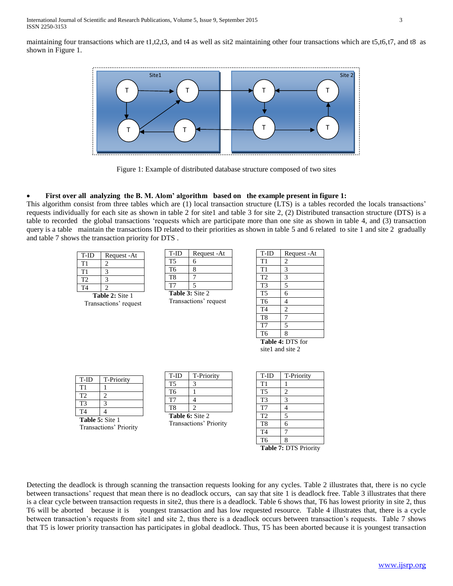maintaining four transactions which are t1,t2,t3, and t4 as well as sit2 maintaining other four transactions which are t5,t6,t7, and t8 as shown in Figure 1.



Figure 1: Example of distributed database structure composed of two sites

## **First over all analyzing the B. M. Alom' algorithm based on the example present in figure 1:**

This algorithm consist from three tables which are (1) local transaction structure (LTS) is a tables recorded the locals transactions' requests individually for each site as shown in table 2 for site1 and table 3 for site 2, (2) Distributed transaction structure (DTS) is a table to recorded the global transactions 'requests which are participate more than one site as shown in table 4, and (3) transaction query is a table maintain the transactions ID related to their priorities as shown in table 5 and 6 related to site 1 and site 2 gradually and table 7 shows the transaction priority for DTS .

| T-ID                   | Request - At |  |  |
|------------------------|--------------|--|--|
| T1                     |              |  |  |
| T1                     |              |  |  |
| T)                     |              |  |  |
| T4                     |              |  |  |
| <b>Table 2: Site 1</b> |              |  |  |

Transactions' request

| T-ID                   | Request - At |  |  |
|------------------------|--------------|--|--|
| Т5                     | 6            |  |  |
| Т6                     | 8            |  |  |
| T8                     |              |  |  |
| T7                     | 5            |  |  |
| <b>Table 3: Site 2</b> |              |  |  |

Transactions' request

| T-ID             | Request - At            |  |  |  |
|------------------|-------------------------|--|--|--|
| T1               | $\overline{2}$          |  |  |  |
| T1               | $\overline{\mathbf{3}}$ |  |  |  |
| T <sub>2</sub>   | 3                       |  |  |  |
| T <sub>3</sub>   | $\overline{5}$          |  |  |  |
| T <sub>5</sub>   | 6                       |  |  |  |
| T <sub>6</sub>   | 4                       |  |  |  |
| T <sub>4</sub>   | $\overline{2}$          |  |  |  |
| T <sub>8</sub>   | 7                       |  |  |  |
| T7               | 5                       |  |  |  |
| T <sub>6</sub>   | 8                       |  |  |  |
| Table 4: DTS for |                         |  |  |  |
|                  |                         |  |  |  |



| T-ID           | <b>T-Priority</b> |
|----------------|-------------------|
| $\mathbf{T}1$  |                   |
| T <sub>2</sub> |                   |
| ፐ3             |                   |
| T4             |                   |
| . <i>. .</i> . |                   |

**Table 5:** Site 1 Transactions' Priority

| T-ID           | T-Priority |
|----------------|------------|
| T5             |            |
| T <sub>6</sub> |            |
| Т7             |            |
| T8             |            |

**Table 6:** Site 2 Transactions' Priority

| <b>T-Priority</b> |
|-------------------|
|                   |
| $\overline{2}$    |
| 3                 |
| 4                 |
| 5                 |
| 6                 |
|                   |
| 8                 |
|                   |

**Table 7:** DTS Priority

Detecting the deadlock is through scanning the transaction requests looking for any cycles. Table 2 illustrates that, there is no cycle between transactions' request that mean there is no deadlock occurs, can say that site 1 is deadlock free. Table 3 illustrates that there is a clear cycle between transaction requests in site2, thus there is a deadlock. Table 6 shows that, T6 has lowest priority in site 2, thus T6 will be aborted because it is youngest transaction and has low requested resource. Table 4 illustrates that, there is a cycle between transaction's requests from site1 and site 2, thus there is a deadlock occurs between transaction's requests. Table 7 shows that T5 is lower priority transaction has participates in global deadlock. Thus, T5 has been aborted because it is youngest transaction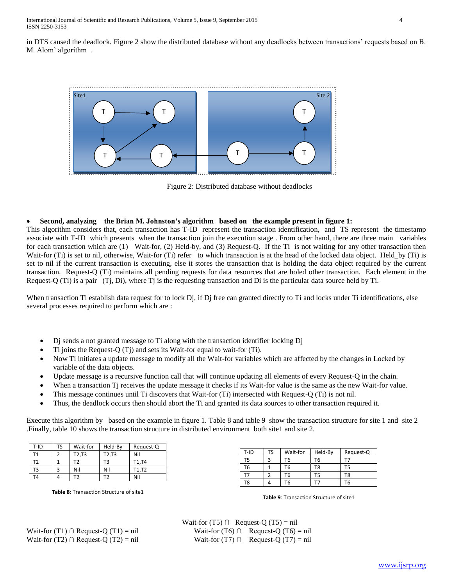International Journal of Scientific and Research Publications, Volume 5, Issue 9, September 2015 4 ISSN 2250-3153

in DTS caused the deadlock. Figure 2 show the distributed database without any deadlocks between transactions' requests based on B. M. Alom' algorithm .



Figure 2: Distributed database without deadlocks

#### **Second, analyzing the Brian M. Johnston's algorithm based on the example present in figure 1:**

This algorithm considers that, each transaction has T-ID represent the transaction identification, and TS represent the timestamp associate with T-ID which presents when the transaction join the execution stage . From other hand, there are three main variables for each transaction which are (1) Wait-for, (2) Held-by, and (3) Request-Q. If the Ti is not waiting for any other transaction then Wait-for (Ti) is set to nil, otherwise, Wait-for (Ti) refer to which transaction is at the head of the locked data object. Held\_by (Ti) is set to nil if the current transaction is executing, else it stores the transaction that is holding the data object required by the current transaction. Request-Q (Ti) maintains all pending requests for data resources that are holed other transaction. Each element in the Request-Q (Ti) is a pair (Tj, Di), where Tj is the requesting transaction and Di is the particular data source held by Ti.

When transaction Ti establish data request for to lock Dj, if Dj free can granted directly to Ti and locks under Ti identifications, else several processes required to perform which are :

- Dj sends a not granted message to Ti along with the transaction identifier locking Dj
- Ti joins the Request-Q (Tj) and sets its Wait-for equal to wait-for (Ti).
- Now Ti initiates a update message to modify all the Wait-for variables which are affected by the changes in Locked by variable of the data objects.
- Update message is a recursive function call that will continue updating all elements of every Request-Q in the chain.
- When a transaction Tj receives the update message it checks if its Wait-for value is the same as the new Wait-for value.
- This message continues until Ti discovers that Wait-for (Ti) intersected with Request-Q (Ti) is not nil.
- Thus, the deadlock occurs then should abort the Ti and granted its data sources to other transaction required it.

Execute this algorithm by based on the example in figure 1. Table 8 and table 9 show the transaction structure for site 1 and site 2 .Finally, table 10 shows the transaction structure in distributed environment both site1 and site 2.

| T-ID | TS | Wait-for | Held-By | Request-Q |
|------|----|----------|---------|-----------|
|      |    | T2,T3    | T2,T3   | Nil       |
| Г2   |    | тэ       | T3      | T1,T4     |
| T3   |    | Nil      | Nil     | T1,T2     |
| r4   |    | гэ       | ٢7      | Nil       |

**Table 8**: Transaction Structure of site1

| T-ID           | TS | Wait-for | Held-By | Request-Q |
|----------------|----|----------|---------|-----------|
| T5             |    | Т6       | Т6      |           |
| T <sub>6</sub> |    | Т6       | T8      | T5        |
|                |    | Т6       | Г5      | T8        |
| T <sub>8</sub> |    | Т6       |         | Т6        |

**Table 9**: Transaction Structure of site1

Wait-for (T5)  $\cap$  Request-Q (T5) = nil Wait-for  $(T1) \cap$  Request-Q  $(T1) = \text{nil}$  Wait-for  $(T6) \cap$  Request-Q  $(T6) = \text{nil}$ Wait-for (T2) ∩ Request-Q (T2) = nil Wait-for (T7) ∩ Request-Q (T7) = nil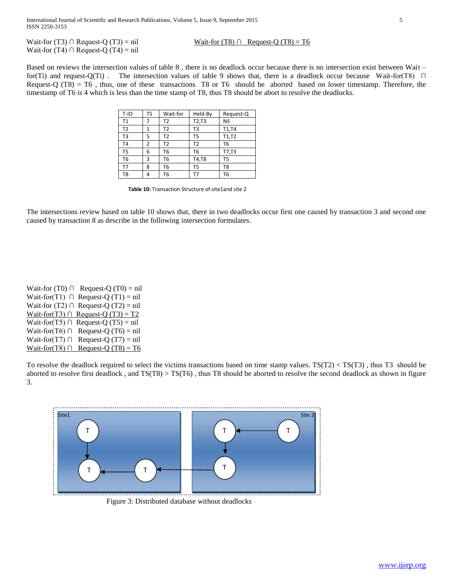Wait-for (T3) ∩ Request-Q (T3) = nil Wait-for (T8) ∩ Request-Q (T8) = T6 Wait-for (T4) ∩ Request-Q (T4) = nil

Based on reviews the intersection values of table 8 , there is no deadlock occur because there is no intersection exist between Wait – for(Ti) and request-Q(Ti). The intersection values of table 9 shows that, there is a deadlock occur because Wait-for(T8) ∩ Request-Q (T8) = T6 , thus, one of these transactions T8 or T6 should be aborted based on lower timestamp. Therefore, the timestamp of T6 is 4 which is less than the time stamp of T8, thus T8 should be abort to resolve the deadlocks.

| T-ID           | TS | Wait-for | Held-By        | Request-Q      |
|----------------|----|----------|----------------|----------------|
| T1             | 7  | T2       | T2,T3          | Nil            |
| T <sub>2</sub> | 1  | T2       | T3             | T1,T4          |
| T <sub>3</sub> | 5  | T2       | T <sub>5</sub> | T1,T2          |
| <b>T4</b>      | 2  | T2       | T <sub>2</sub> | T <sub>6</sub> |
| T <sub>5</sub> | 6  | T6       | T6             | T7,T3          |
| T6             | 3  | T6       | T4,T8          | T <sub>5</sub> |
| T7             | 8  | Т6       | T <sub>5</sub> | T <sub>8</sub> |
| T8             | 4  | T6       | Т7             | T6             |

**Table 10:** Transaction Structure of site1and site 2

The intersections review based on table 10 shows that, there in two deadlocks occur first one caused by transaction 3 and second one caused by transaction 8 as describe in the following intersection formulates.

Wait-for (T0)  $\cap$  Request-Q (T0) = nil Wait-for(T1) ∩ Request-Q (T1) = nil Wait-for (T2)  $\cap$  Request-Q (T2) = nil Wait-for(T3) ∩ Request-Q (T3) = T2 Wait-for(T5) ∩ Request-Q (T5) = nil Wait-for(T6) ∩ Request-Q (T6) = nil Wait-for(T7) ∩ Request-Q (T7) = nil Wait-for(T8) ∩ Request-Q (T8) = T6

To resolve the deadlock required to select the victims transactions based on time stamp values.  $TS(T2) < TS(T3)$ , thus T3 should be aborted to resolve first deadlock , and TS(T8) > TS(T6) , thus T8 should be aborted to resolve the second deadlock as shown in figure 3.



Figure 3: Distributed database without deadlocks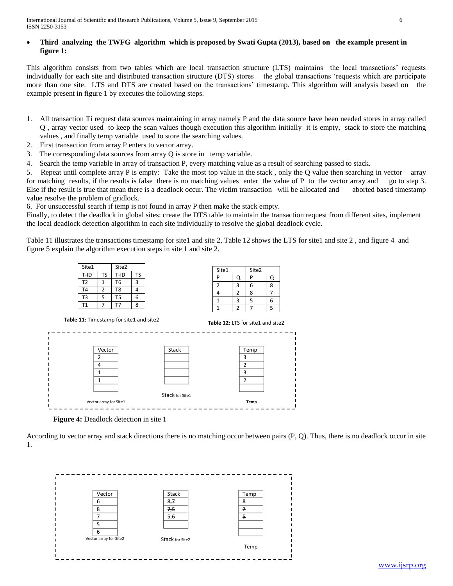## **Third analyzing the TWFG algorithm which is proposed by Swati Gupta (2013), based on the example present in figure 1:**

This algorithm consists from two tables which are local transaction structure (LTS) maintains the local transactions' requests individually for each site and distributed transaction structure (DTS) stores the global transactions 'requests which are participate more than one site. LTS and DTS are created based on the transactions' timestamp. This algorithm will analysis based on the example present in figure 1 by executes the following steps.

- 1. All transaction Ti request data sources maintaining in array namely P and the data source have been needed stores in array called Q , array vector used to keep the scan values though execution this algorithm initially it is empty, stack to store the matching values , and finally temp variable used to store the searching values.
- 2. First transaction from array P enters to vector array.
- 3. The corresponding data sources from array Q is store in temp variable.
- 4. Search the temp variable in array of transaction P, every matching value as a result of searching passed to stack.

5. Repeat until complete array P is empty: Take the most top value in the stack , only the Q value then searching in vector array for matching results, if the results is false there is no matching values enter the value of P to the vector array and go to step 3. Else if the result is true that mean there is a deadlock occur. The victim transaction will be allocated and aborted based timestamp value resolve the problem of gridlock.

6. For unsuccessful search if temp is not found in array P then make the stack empty.

Finally, to detect the deadlock in global sites: create the DTS table to maintain the transaction request from different sites, implement the local deadlock detection algorithm in each site individually to resolve the global deadlock cycle.

Table 11 illustrates the transactions timestamp for site1 and site 2, Table 12 shows the LTS for site1 and site 2 , and figure 4 and figure 5 explain the algorithm execution steps in site 1 and site 2.





According to vector array and stack directions there is no matching occur between pairs (P, Q). Thus, there is no deadlock occur in site 1.

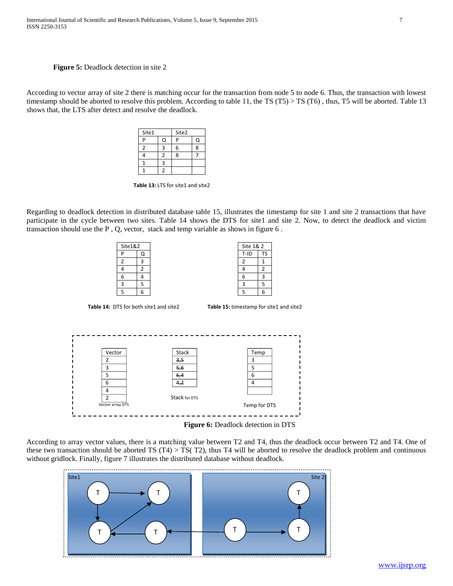#### **Figure 5:** Deadlock detection in site 2

According to vector array of site 2 there is matching occur for the transaction from node 5 to node 6. Thus, the transaction with lowest timestamp should be aborted to resolve this problem. According to table 11, the TS (T5) > TS (T6), thus, T5 will be aborted. Table 13 shows that, the LTS after detect and resolve the deadlock.

| Site1 | Site2 |  |
|-------|-------|--|
| г     | D     |  |
|       | 6     |  |
|       | ጾ     |  |
|       |       |  |
|       |       |  |

Table 13: LTS for site1 and site2

Regarding to deadlock detection in distributed database table 15, illustrates the timestamp for site 1 and site 2 transactions that have participate in the cycle between two sites. Table 14 shows the DTS for site1 and site 2. Now, to detect the deadlock and victim transaction should use the P , Q, vector, stack and temp variable as shows in figure 6 .





According to array vector values, there is a matching value between T2 and T4, thus the deadlock occur between T2 and T4. One of these two transaction should be aborted TS  $(T4) > TS(T2)$ , thus T4 will be aborted to resolve the deadlock problem and continuous without gridlock. Finally, figure 7 illustrates the distributed database without deadlock.

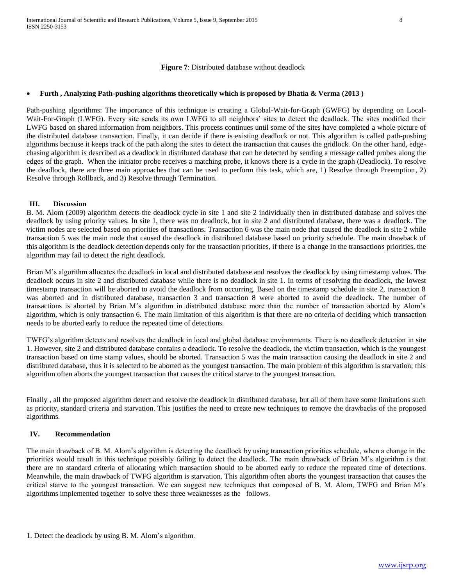**Figure 7**: Distributed database without deadlock

#### **Furth , Analyzing Path-pushing algorithms theoretically which is proposed by Bhatia & Verma (2013 )**

Path-pushing algorithms: The importance of this technique is creating a Global-Wait-for-Graph (GWFG) by depending on Local-Wait-For-Graph (LWFG). Every site sends its own LWFG to all neighbors' sites to detect the deadlock. The sites modified their LWFG based on shared information from neighbors. This process continues until some of the sites have completed a whole picture of the distributed database transaction. Finally, it can decide if there is existing deadlock or not. This algorithm is called path-pushing algorithms because it keeps track of the path along the sites to detect the transaction that causes the gridlock. On the other hand, edgechasing algorithm is described as a deadlock in distributed database that can be detected by sending a message called probes along the edges of the graph. When the initiator probe receives a matching probe, it knows there is a cycle in the graph (Deadlock). To resolve the deadlock, there are three main approaches that can be used to perform this task, which are, 1) Resolve through Preemption, 2) Resolve through Rollback, and 3) Resolve through Termination.

### **III. Discussion**

B. M. Alom (2009) algorithm detects the deadlock cycle in site 1 and site 2 individually then in distributed database and solves the deadlock by using priority values. In site 1, there was no deadlock, but in site 2 and distributed database, there was a deadlock. The victim nodes are selected based on priorities of transactions. Transaction 6 was the main node that caused the deadlock in site 2 while transaction 5 was the main node that caused the deadlock in distributed database based on priority schedule. The main drawback of this algorithm is the deadlock detection depends only for the transaction priorities, if there is a change in the transactions priorities, the algorithm may fail to detect the right deadlock.

Brian M's algorithm allocates the deadlock in local and distributed database and resolves the deadlock by using timestamp values. The deadlock occurs in site 2 and distributed database while there is no deadlock in site 1. In terms of resolving the deadlock, the lowest timestamp transaction will be aborted to avoid the deadlock from occurring. Based on the timestamp schedule in site 2, transaction 8 was aborted and in distributed database, transaction 3 and transaction 8 were aborted to avoid the deadlock. The number of transactions is aborted by Brian M's algorithm in distributed database more than the number of transaction aborted by Alom's algorithm, which is only transaction 6. The main limitation of this algorithm is that there are no criteria of deciding which transaction needs to be aborted early to reduce the repeated time of detections.

TWFG's algorithm detects and resolves the deadlock in local and global database environments. There is no deadlock detection in site 1. However, site 2 and distributed database contains a deadlock. To resolve the deadlock, the victim transaction, which is the youngest transaction based on time stamp values, should be aborted. Transaction 5 was the main transaction causing the deadlock in site 2 and distributed database, thus it is selected to be aborted as the youngest transaction. The main problem of this algorithm is starvation; this algorithm often aborts the youngest transaction that causes the critical starve to the youngest transaction.

Finally , all the proposed algorithm detect and resolve the deadlock in distributed database, but all of them have some limitations such as priority, standard criteria and starvation. This justifies the need to create new techniques to remove the drawbacks of the proposed algorithms.

#### **IV. Recommendation**

The main drawback of B. M. Alom's algorithm is detecting the deadlock by using transaction priorities schedule, when a change in the priorities would result in this technique possibly failing to detect the deadlock. The main drawback of Brian M's algorithm is that there are no standard criteria of allocating which transaction should to be aborted early to reduce the repeated time of detections. Meanwhile, the main drawback of TWFG algorithm is starvation. This algorithm often aborts the youngest transaction that causes the critical starve to the youngest transaction. We can suggest new techniques that composed of B. M. Alom, TWFG and Brian M's algorithms implemented together to solve these three weaknesses as the follows.

<sup>1.</sup> Detect the deadlock by using B. M. Alom's algorithm.